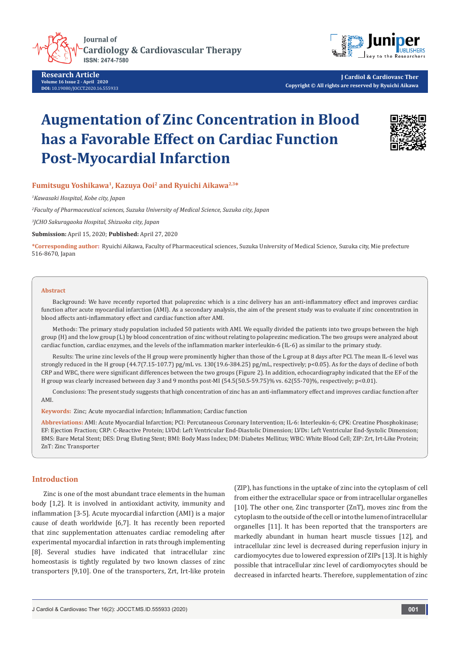

**Research Article Volume 16 Issue 2 - April 2020 DOI:** [10.19080/JOCCT.2020.16.55593](http://dx.doi.org/10.19080/JOCCT.2020.16.555933)3



**J Cardiol & Cardiovasc Ther Copyright © All rights are reserved by Ryuichi Aikawa**

# **Augmentation of Zinc Concentration in Blood has a Favorable Effect on Cardiac Function Post-Myocardial Infarction**



## **Fumitsugu Yoshikawa1, Kazuya Ooi2 and Ryuichi Aikawa2,3\***

*1 Kawasaki Hospital, Kobe city, Japan*

*2 Faculty of Pharmaceutical sciences, Suzuka University of Medical Science, Suzuka city, Japan*

*3 JCHO Sakuragaoka Hospital, Shizuoka city, Japan*

**Submission:** April 15, 2020; **Published:** April 27, 2020

**\*Corresponding author:** Ryuichi Aikawa, Faculty of Pharmaceutical sciences, Suzuka University of Medical Science, Suzuka city, Mie prefecture 516-8670, Japan

#### **Abstract**

Background: We have recently reported that polaprezinc which is a zinc delivery has an anti-inflammatory effect and improves cardiac function after acute myocardial infarction (AMI). As a secondary analysis, the aim of the present study was to evaluate if zinc concentration in blood affects anti-inflammatory effect and cardiac function after AMI.

Methods: The primary study population included 50 patients with AMI. We equally divided the patients into two groups between the high group (H) and the low group (L) by blood concentration of zinc without relating to polaprezinc medication. The two groups were analyzed about cardiac function, cardiac enzymes, and the levels of the inflammation marker interleukin-6 (IL-6) as similar to the primary study.

Results: The urine zinc levels of the H group were prominently higher than those of the L group at 8 days after PCI. The mean IL-6 level was strongly reduced in the H group (44.7(7.15-107.7) pg/mL vs. 130(19.6-384.25) pg/mL, respectively; p<0.05). As for the days of decline of both CRP and WBC, there were significant differences between the two groups (Figure 2). In addition, echocardiography indicated that the EF of the H group was clearly increased between day 3 and 9 months post-MI (54.5(50.5-59.75)% vs. 62(55-70)%, respectively; p<0.01).

Conclusions: The present study suggests that high concentration of zinc has an anti-inflammatory effect and improves cardiac function after AMI.

**Keywords:** Zinc; Acute myocardial infarction; Inflammation; Cardiac function

**Abbreviations:** AMI: Acute Myocardial Infarction; PCI: Percutaneous Coronary Intervention; IL-6: Interleukin-6; CPK: Creatine Phosphokinase; EF: Ejection Fraction; CRP: C-Reactive Protein; LVDd: Left Ventricular End-Diastolic Dimension; LVDs: Left Ventricular End-Systolic Dimension; BMS: Bare Metal Stent; DES: Drug Eluting Stent; BMI: Body Mass Index; DM: Diabetes Mellitus; WBC: White Blood Cell; ZIP: Zrt, Irt-Like Protein; ZnT: Zinc Transporter

## **Introduction**

Zinc is one of the most abundant trace elements in the human body [1,2]. It is involved in antioxidant activity, immunity and inflammation [3-5]. Acute myocardial infarction (AMI) is a major cause of death worldwide [6,7]. It has recently been reported that zinc supplementation attenuates cardiac remodeling after experimental myocardial infarction in rats through implementing [8]. Several studies have indicated that intracellular zinc homeostasis is tightly regulated by two known classes of zinc transporters [9,10]. One of the transporters, Zrt, Irt-like protein

(ZIP), has functions in the uptake of zinc into the cytoplasm of cell from either the extracellular space or from intracellular organelles [10]. The other one, Zinc transporter (ZnT), moves zinc from the cytoplasm to the outside of the cell or into the lumen of intracellular organelles [11]. It has been reported that the transporters are markedly abundant in human heart muscle tissues [12], and intracellular zinc level is decreased during reperfusion injury in cardiomyocytes due to lowered expression of ZIPs [13]. It is highly possible that intracellular zinc level of cardiomyocytes should be decreased in infarcted hearts. Therefore, supplementation of zinc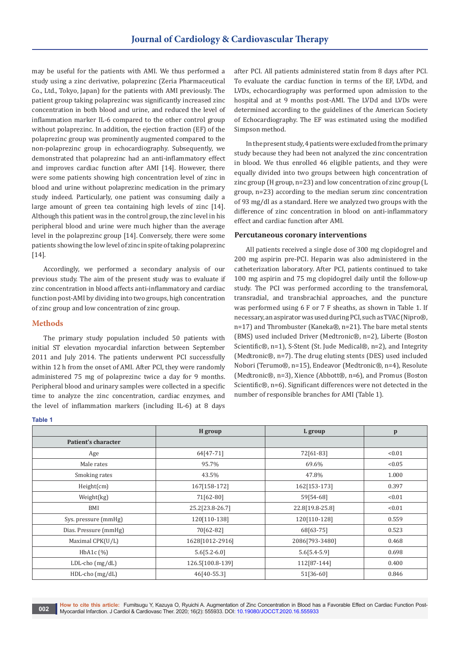may be useful for the patients with AMI. We thus performed a study using a zinc derivative, polaprezinc (Zeria Pharmaceutical Co., Ltd., Tokyo, Japan) for the patients with AMI previously. The patient group taking polaprezinc was significantly increased zinc concentration in both blood and urine, and reduced the level of inflammation marker IL-6 compared to the other control group without polaprezinc. In addition, the ejection fraction (EF) of the polaprezinc group was prominently augmented compared to the non-polaprezinc group in echocardiography. Subsequently, we demonstrated that polaprezinc had an anti-inflammatory effect and improves cardiac function after AMI [14]. However, there were some patients showing high concentration level of zinc in blood and urine without polaprezinc medication in the primary study indeed. Particularly, one patient was consuming daily a large amount of green tea containing high levels of zinc [14]. Although this patient was in the control group, the zinc level in his peripheral blood and urine were much higher than the average level in the polaprezinc group [14]. Conversely, there were some patients showing the low level of zinc in spite of taking polaprezinc [14].

Accordingly, we performed a secondary analysis of our previous study. The aim of the present study was to evaluate if zinc concentration in blood affects anti-inflammatory and cardiac function post-AMI by dividing into two groups, high concentration of zinc group and low concentration of zinc group.

# **Methods**

The primary study population included 50 patients with initial ST elevation myocardial infarction between September 2011 and July 2014. The patients underwent PCI successfully within 12 h from the onset of AMI. After PCI, they were randomly administered 75 mg of polaprezinc twice a day for 9 months. Peripheral blood and urinary samples were collected in a specific time to analyze the zinc concentration, cardiac enzymes, and the level of inflammation markers (including IL-6) at 8 days

after PCI. All patients administered statin from 8 days after PCI. To evaluate the cardiac function in terms of the EF, LVDd, and LVDs, echocardiography was performed upon admission to the hospital and at 9 months post-AMI. The LVDd and LVDs were determined according to the guidelines of the American Society of Echocardiography. The EF was estimated using the modified Simpson method.

In the present study, 4 patients were excluded from the primary study because they had been not analyzed the zinc concentration in blood. We thus enrolled 46 eligible patients, and they were equally divided into two groups between high concentration of zinc group (H group, n=23) and low concentration of zinc group (L group, n=23) according to the median serum zinc concentration of 93 mg/dl as a standard. Here we analyzed two groups with the difference of zinc concentration in blood on anti-inflammatory effect and cardiac function after AMI.

## **Percutaneous coronary interventions**

All patients received a single dose of 300 mg clopidogrel and 200 mg aspirin pre-PCI. Heparin was also administered in the catheterization laboratory. After PCI, patients continued to take 100 mg aspirin and 75 mg clopidogrel daily until the follow-up study. The PCI was performed according to the transfemoral, transradial, and transbrachial approaches, and the puncture was performed using 6 F or 7 F sheaths, as shown in Table 1. If necessary, an aspirator was used during PCI, such as TVAC (Nipro®, n=17) and Thrombuster (Kaneka®, n=21). The bare metal stents (BMS) used included Driver (Medtronic®, n=2), Liberte (Boston Scientific®, n=1), S-Stent (St. Jude Medical®, n=2), and Integrity (Medtronic®, n=7). The drug eluting stents (DES) used included Nobori (Terumo®, n=15), Endeavor (Medtronic®, n=4), Resolute (Medtronic®, n=3), Xience (Abbott®, n=6), and Promus (Boston Scientific®, n=6). Significant differences were not detected in the number of responsible branches for AMI (Table 1).

|                       | H group          | L group         | $\mathbf{p}$ |
|-----------------------|------------------|-----------------|--------------|
| Patient's character   |                  |                 |              |
| Age                   | 64[47-71]        | 72[61-83]       | < 0.01       |
| Male rates            | 95.7%            | 69.6%           | < 0.05       |
| Smoking rates         | 43.5%            | 47.8%           | 1.000        |
| Height(cm)            | 167[158-172]     | 162[153-173]    | 0.397        |
| Weight(kg)            | 71[62-80]        | 59[54-68]       | < 0.01       |
| BMI                   | 25.2[23.8-26.7]  | 22.8[19.8-25.8] | < 0.01       |
| Sys. pressure (mmHg)  | 120[110-138]     | 120[110-128]    | 0.559        |
| Dias. Pressure (mmHg) | 70[62-82]        | 68[63-75]       | 0.523        |
| Maximal CPK(U/L)      | 1628[1012-2916]  | 2086[793-3480]  | 0.468        |
| $HbA1c$ $(\% )$       | $5.6[5.2-6.0]$   | $5.6[5.4-5.9]$  | 0.698        |
| $LDL$ -cho $(mg/dL)$  | 126.5[100.8-139] | 112[87-144]     | 0.400        |
| HDL-cho (mg/dL)       | 46[40-55.3]      | 51[36-60]       | 0.846        |

#### **Table 1**

**How to cite this article:** Fumitsugu Y, Kazuya O, Ryuichi A. Augmentation of Zinc Concentration in Blood has a Favorable Effect on Cardiac Function Post-Myocardial Infarction. J Cardiol & Cardiovasc Ther. 2020; 16(2): 555933. DOI: [10.19080/JOCCT.2020.16.55593](http://dx.doi.org/10.19080/JOCCT.2020.16.555933)3 **002**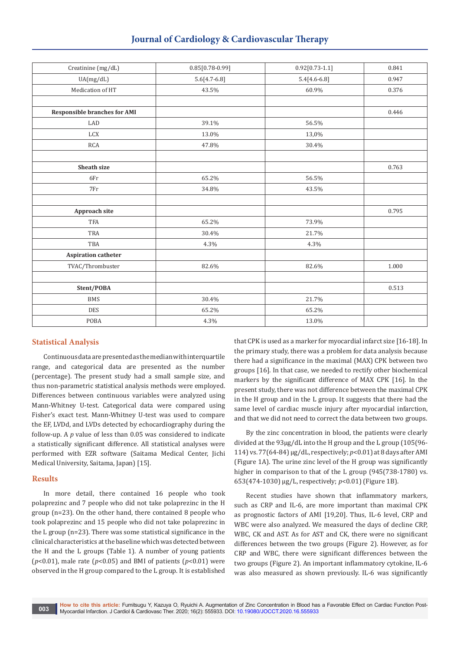| Creatinine (mg/dL)                  | $0.85[0.78-0.99]$ | $0.92[0.73-1.1]$ | 0.841 |
|-------------------------------------|-------------------|------------------|-------|
| UA(mg/dL)                           | $5.6[4.7-6.8]$    | $5.4[4.6-6.8]$   | 0.947 |
| Medication of HT                    | 43.5%             | 60.9%            | 0.376 |
|                                     |                   |                  |       |
| <b>Responsible branches for AMI</b> |                   |                  | 0.446 |
| LAD                                 | 39.1%             | 56.5%            |       |
| LCX                                 | 13.0%             | 13,0%            |       |
| <b>RCA</b>                          | 47.8%             | 30.4%            |       |
|                                     |                   |                  |       |
| Sheath size                         |                   |                  | 0.763 |
| 6Fr                                 | 65.2%             | 56.5%            |       |
| 7Fr                                 | 34.8%             | 43.5%            |       |
|                                     |                   |                  |       |
| Approach site                       |                   |                  | 0.795 |
| TFA                                 | 65.2%             | 73.9%            |       |
| TRA                                 | 30.4%             | 21.7%            |       |
| TBA                                 | 4.3%              | 4.3%             |       |
| Aspiration catheter                 |                   |                  |       |
| TVAC/Thrombuster                    | 82.6%             | 82.6%            | 1.000 |
|                                     |                   |                  |       |
| Stent/POBA                          |                   |                  | 0.513 |
| <b>BMS</b>                          | 30.4%             | 21.7%            |       |
| <b>DES</b>                          | 65.2%             | 65.2%            |       |
| POBA                                | 4.3%              | 13.0%            |       |

# **Statistical Analysis**

Continuous data are presented as the median with interquartile range, and categorical data are presented as the number (percentage). The present study had a small sample size, and thus non-parametric statistical analysis methods were employed. Differences between continuous variables were analyzed using Mann-Whitney U-test. Categorical data were compared using Fisher's exact test. Mann-Whitney U-test was used to compare the EF, LVDd, and LVDs detected by echocardiography during the follow-up. A *p* value of less than 0.05 was considered to indicate a statistically significant difference. All statistical analyses were performed with EZR software (Saitama Medical Center, Jichi Medical University, Saitama, Japan) [15].

## **Results**

In more detail, there contained 16 people who took polaprezinc and 7 people who did not take polaprezinc in the H group (n=23). On the other hand, there contained 8 people who took polaprezinc and 15 people who did not take polaprezinc in the L group (n=23). There was some statistical significance in the clinical characteristics at the baseline which was detected between the H and the L groups (Table 1). A number of young patients ( $p$ <0.01), male rate ( $p$ <0.05) and BMI of patients ( $p$ <0.01) were observed in the H group compared to the L group. It is established

that CPK is used as a marker for myocardial infarct size [16-18]. In the primary study, there was a problem for data analysis because there had a significance in the maximal (MAX) CPK between two groups [16]. In that case, we needed to rectify other biochemical markers by the significant difference of MAX CPK [16]. In the present study, there was not difference between the maximal CPK in the H group and in the L group. It suggests that there had the same level of cardiac muscle injury after myocardial infarction, and that we did not need to correct the data between two groups.

By the zinc concentration in blood, the patients were clearly divided at the 93µg/dL into the H group and the L group (105(96- 114) vs. 77(64-84) µg/dL, respectively; *p*<0.01) at 8 days after AMI (Figure 1A). The urine zinc level of the H group was significantly higher in comparison to that of the L group (945(738-1780) vs. 653(474-1030) µg/L, respectively; *p*<0.01) (Figure 1B).

Recent studies have shown that inflammatory markers, such as CRP and IL-6, are more important than maximal CPK as prognostic factors of AMI [19,20]. Thus, IL-6 level, CRP and WBC were also analyzed. We measured the days of decline CRP, WBC, CK and AST. As for AST and CK, there were no significant differences between the two groups (Figure 2). However, as for CRP and WBC, there were significant differences between the two groups (Figure 2). An important inflammatory cytokine, IL-6 was also measured as shown previously. IL-6 was significantly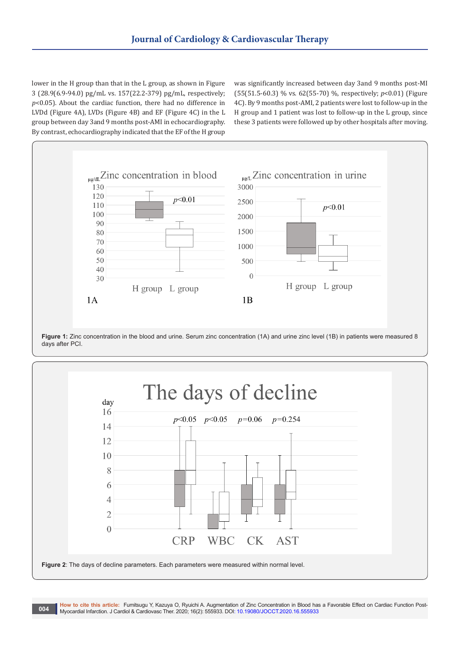lower in the H group than that in the L group, as shown in Figure 3 (28.9(6.9-94.0) pg/mL vs. 157(22.2-379) pg/mL, respectively; *p*<0.05). About the cardiac function, there had no difference in LVDd (Figure 4A), LVDs (Figure 4B) and EF (Figure 4C) in the L group between day 3and 9 months post-AMI in echocardiography. By contrast, echocardiography indicated that the EF of the H group

was significantly increased between day 3and 9 months post-MI (55(51.5-60.3) % vs. 62(55-70) %, respectively; *p*<0.01) (Figure 4C). By 9 months post-AMI, 2 patients were lost to follow-up in the H group and 1 patient was lost to follow-up in the L group, since these 3 patients were followed up by other hospitals after moving.



**Figure 1:** Zinc concentration in the blood and urine. Serum zinc concentration (1A) and urine zinc level (1B) in patients were measured 8 days after PCI.



**How to cite this article:** Fumitsugu Y, Kazuya O, Ryuichi A. Augmentation of Zinc Concentration in Blood has a Favorable Effect on Cardiac Function Post-Myocardial Infarction. J Cardiol & Cardiovasc Ther. 2020; 16(2): 555933. DOI: [10.19080/JOCCT.2020.16.55593](http://dx.doi.org/10.19080/JOCCT.2020.16.555933)3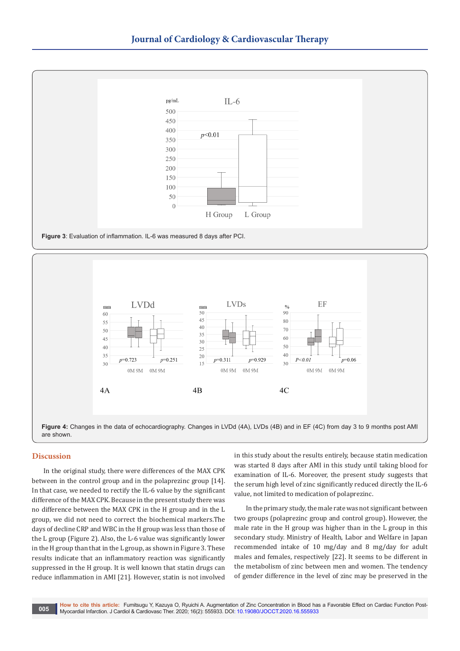





# **Discussion**

In the original study, there were differences of the MAX CPK between in the control group and in the polaprezinc group [14]. In that case, we needed to rectify the IL-6 value by the significant difference of the MAX CPK. Because in the present study there was no difference between the MAX CPK in the H group and in the L group, we did not need to correct the biochemical markers.The days of decline CRP and WBC in the H group was less than those of the L group (Figure 2). Also, the L-6 value was significantly lower in the H group than that in the L group, as shown in Figure 3. These results indicate that an inflammatory reaction was significantly suppressed in the H group. It is well known that statin drugs can reduce inflammation in AMI [21]. However, statin is not involved

in this study about the results entirely, because statin medication was started 8 days after AMI in this study until taking blood for examination of IL-6. Moreover, the present study suggests that the serum high level of zinc significantly reduced directly the IL-6 value, not limited to medication of polaprezinc.

In the primary study, the male rate was not significant between two groups (polaprezinc group and control group). However, the male rate in the H group was higher than in the L group in this secondary study. Ministry of Health, Labor and Welfare in Japan recommended intake of 10 mg/day and 8 mg/day for adult males and females, respectively [22]. It seems to be different in the metabolism of zinc between men and women. The tendency of gender difference in the level of zinc may be preserved in the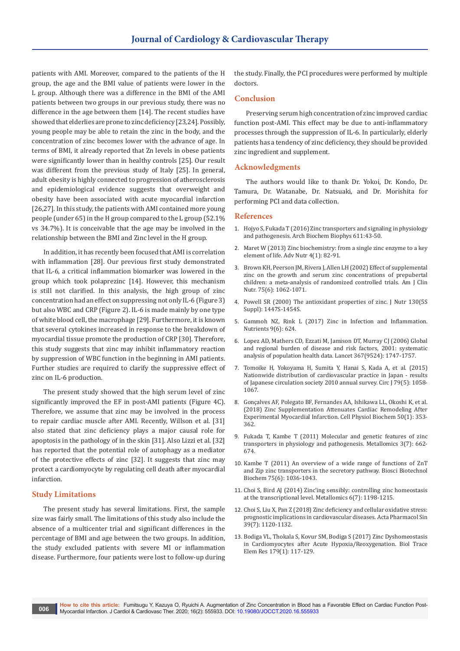patients with AMI. Moreover, compared to the patients of the H group, the age and the BMI value of patients were lower in the L group. Although there was a difference in the BMI of the AMI patients between two groups in our previous study, there was no difference in the age between them [14]. The recent studies have showed that elderlies are prone to zinc deficiency [23,24]. Possibly, young people may be able to retain the zinc in the body, and the concentration of zinc becomes lower with the advance of age. In terms of BMI, it already reported that Zn levels in obese patients were significantly lower than in healthy controls [25]. Our result was different from the previous study of Italy [25]. In general, adult obesity is highly connected to progression of atherosclerosis and epidemiological evidence suggests that overweight and obesity have been associated with acute myocardial infarction [26,27]. In this study, the patients with AMI contained more young people (under 65) in the H group compared to the L group (52.1% vs 34.7%). It is conceivable that the age may be involved in the relationship between the BMI and Zinc level in the H group.

In addition, it has recently been focused that AMI is correlation with inflammation [28]. Our previous first study demonstrated that IL-6, a critical inflammation biomarker was lowered in the group which took polaprezinc [14]. However, this mechanism is still not clarified. In this analysis, the high group of zinc concentration had an effect on suppressing not only IL-6 (Figure 3) but also WBC and CRP (Figure 2). IL-6 is made mainly by one type of white blood cell, the macrophage [29]. Furthermore, it is known that several cytokines increased in response to the breakdown of myocardial tissue promote the production of CRP [30]. Therefore, this study suggests that zinc may inhibit inflammatory reaction by suppression of WBC function in the beginning in AMI patients. Further studies are required to clarify the suppressive effect of zinc on IL-6 production.

The present study showed that the high serum level of zinc significantly improved the EF in post-AMI patients (Figure 4C). Therefore, we assume that zinc may be involved in the process to repair cardiac muscle after AMI. Recently, Willson et al. [31] also stated that zinc deficiency plays a major causal role for apoptosis in the pathology of in the skin [31]. Also Lizzi et al. [32] has reported that the potential role of autophagy as a mediator of the protective effects of zinc [32]. It suggests that zinc may protect a cardiomyocyte by regulating cell death after myocardial infarction.

#### **Study Limitations**

The present study has several limitations. First, the sample size was fairly small. The limitations of this study also include the absence of a multicenter trial and significant differences in the percentage of BMI and age between the two groups. In addition, the study excluded patients with severe MI or inflammation disease. Furthermore, four patients were lost to follow-up during the study. Finally, the PCI procedures were performed by multiple doctors.

#### **Conclusion**

Preserving serum high concentration of zinc improved cardiac function post-AMI. This effect may be due to anti-inflammatory processes through the suppression of IL-6. In particularly, elderly patients has a tendency of zinc deficiency, they should be provided zinc ingredient and supplement.

#### **Acknowledgments**

The authors would like to thank Dr. Yokoi, Dr. Kondo, Dr. Tamura, Dr. Watanabe, Dr. Natsuaki, and Dr. Morishita for performing PCI and data collection.

#### **References**

- 1. [Hojyo S, Fukada T \(2016\) Zinc transporters and signaling in physiology](https://www.ncbi.nlm.nih.gov/pubmed/27394923)  [and pathogenesis. Arch Biochem Biophys 611:43-50.](https://www.ncbi.nlm.nih.gov/pubmed/27394923)
- 2. [Maret W \(2013\) Zinc biochemistry: from a single zinc enzyme to a key](https://www.ncbi.nlm.nih.gov/pubmed/23319127)  [element of life. Adv Nutr 4\(1\): 82-91.](https://www.ncbi.nlm.nih.gov/pubmed/23319127)
- 3. [Brown KH, Peerson JM, Rivera J, Allen LH \(2002\) Effect of supplemental](https://www.ncbi.nlm.nih.gov/pubmed/12036814)  [zinc on the growth and serum zinc concentrations of prepubertal](https://www.ncbi.nlm.nih.gov/pubmed/12036814)  [children: a meta-analysis of randomized controlled trials. Am J Clin](https://www.ncbi.nlm.nih.gov/pubmed/12036814)  [Nutr. 75\(6\): 1062-1071.](https://www.ncbi.nlm.nih.gov/pubmed/12036814)
- 4. [Powell SR \(2000\) The antioxidant properties of zinc. J Nutr 130\(5S](https://www.ncbi.nlm.nih.gov/pubmed/10801958)  [Suppl\): 1447S-1454S.](https://www.ncbi.nlm.nih.gov/pubmed/10801958)
- 5. [Gammoh NZ, Rink L \(2017\) Zinc in Infection and Inflammation.](https://www.ncbi.nlm.nih.gov/pubmed/28629136)  [Nutrients 9\(6\): 624.](https://www.ncbi.nlm.nih.gov/pubmed/28629136)
- 6. [Lopez AD, Mathers CD, Ezzati M, Jamison DT, Murray CJ \(2006\) Global](https://www.ncbi.nlm.nih.gov/pubmed/16731270)  [and regional burden of disease and risk factors, 2001: systematic](https://www.ncbi.nlm.nih.gov/pubmed/16731270)  [analysis of population health data. Lancet 367\(9524\): 1747-1757.](https://www.ncbi.nlm.nih.gov/pubmed/16731270)
- 7. [Tomoike H, Yokoyama H, Sumita Y, Hanai S, Kada A, et al. \(2015\)](https://www.ncbi.nlm.nih.gov/pubmed/25739856)  [Nationwide distribution of cardiovascular practice in Japan - results](https://www.ncbi.nlm.nih.gov/pubmed/25739856)  [of Japanese circulation society 2010 annual survey. Circ J 79\(5\): 1058-](https://www.ncbi.nlm.nih.gov/pubmed/25739856) [1067.](https://www.ncbi.nlm.nih.gov/pubmed/25739856)
- 8. [Gonçalves AF, Polegato BF, Fernandes AA, Ishikawa LL, Okoshi K, et al.](https://www.ncbi.nlm.nih.gov/pubmed/30286450)  [\(2018\) Zinc Supplementation Attenuates Cardiac Remodeling After](https://www.ncbi.nlm.nih.gov/pubmed/30286450)  [Experimental Myocardial Infarction. Cell Physiol Biochem 50\(1\): 353-](https://www.ncbi.nlm.nih.gov/pubmed/30286450) [362.](https://www.ncbi.nlm.nih.gov/pubmed/30286450)
- 9. [Fukada T, Kambe T \(2011\) Molecular and genetic features of zinc](https://www.ncbi.nlm.nih.gov/pubmed/21566827)  [transporters in physiology and pathogenesis. Metallomics 3\(7\): 662-](https://www.ncbi.nlm.nih.gov/pubmed/21566827) [674.](https://www.ncbi.nlm.nih.gov/pubmed/21566827)
- 10. [Kambe T \(2011\) An overview of a wide range of functions of ZnT](https://www.ncbi.nlm.nih.gov/pubmed/21670538)  [and Zip zinc transporters in the secretory pathway. Biosci Biotechnol](https://www.ncbi.nlm.nih.gov/pubmed/21670538)  [Biochem 75\(6\): 1036-1043.](https://www.ncbi.nlm.nih.gov/pubmed/21670538)
- 11. [Choi S, Bird AJ \(2014\) Zinc'ing sensibly: controlling zinc homeostasis](https://www.ncbi.nlm.nih.gov/pubmed/24722954)  [at the transcriptional level. Metallomics 6\(7\): 1198-1215.](https://www.ncbi.nlm.nih.gov/pubmed/24722954)
- 12. [Choi S, Liu X, Pan Z \(2018\) Zinc deficiency and cellular oxidative stress:](https://www.ncbi.nlm.nih.gov/pubmed/29926844)  [prognostic implications in cardiovascular diseases. Acta Pharmacol Sin](https://www.ncbi.nlm.nih.gov/pubmed/29926844)  [39\(7\): 1120-1132.](https://www.ncbi.nlm.nih.gov/pubmed/29926844)
- 13. [Bodiga VL, Thokala S, Kovur SM, Bodiga S \(2017\) Zinc Dyshomeostasis](https://www.ncbi.nlm.nih.gov/pubmed/28181174)  [in Cardiomyocytes after Acute Hypoxia/Reoxygenation. Biol Trace](https://www.ncbi.nlm.nih.gov/pubmed/28181174)  [Elem Res 179\(1\): 117-129.](https://www.ncbi.nlm.nih.gov/pubmed/28181174)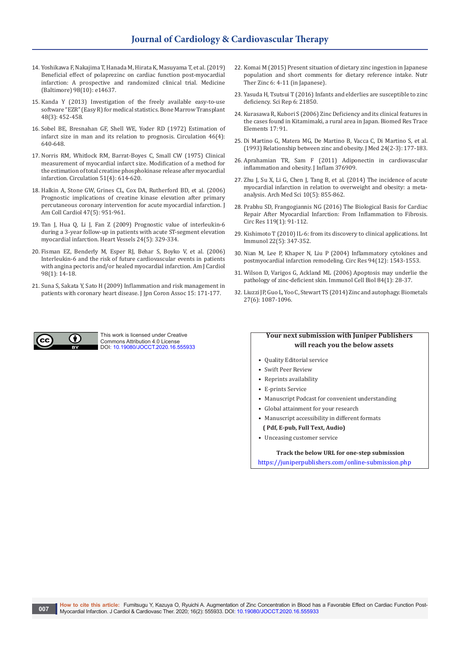- 14. [Yoshikawa F, Nakajima T, Hanada M, Hirata K, Masuyama T, et al. \(2019\)](https://www.ncbi.nlm.nih.gov/pubmed/30855449)  [Beneficial effect of polaprezinc on cardiac function post-myocardial](https://www.ncbi.nlm.nih.gov/pubmed/30855449)  [infarction: A prospective and randomized clinical trial. Medicine](https://www.ncbi.nlm.nih.gov/pubmed/30855449)  [\(Baltimore\) 98\(10\): e14637.](https://www.ncbi.nlm.nih.gov/pubmed/30855449)
- 15. [Kanda Y \(2013\) Investigation of the freely available easy-to-use](https://www.ncbi.nlm.nih.gov/pubmed/23208313)  [software "EZR" \(Easy R\) for medical statistics. Bone Marrow Transplant](https://www.ncbi.nlm.nih.gov/pubmed/23208313)  [48\(3\): 452-458.](https://www.ncbi.nlm.nih.gov/pubmed/23208313)
- 16. [Sobel BE, Bresnahan GF, Shell WE, Yoder RD \(1972\) Estimation of](https://www.ncbi.nlm.nih.gov/pubmed/5072765)  [infarct size in man and its relation to prognosis. Circulation 46\(4\):](https://www.ncbi.nlm.nih.gov/pubmed/5072765)  [640-648.](https://www.ncbi.nlm.nih.gov/pubmed/5072765)
- 17. [Norris RM, Whitlock RM, Barrat-Boyes C, Small CW \(1975\) Clinical](https://www.ncbi.nlm.nih.gov/pubmed/1116251)  [measurement of myocardial infarct size. Modification of a method for](https://www.ncbi.nlm.nih.gov/pubmed/1116251)  [the estimation of total creatine phosphokinase release after myocardial](https://www.ncbi.nlm.nih.gov/pubmed/1116251)  [infarction. Circulation 51\(4\): 614-620.](https://www.ncbi.nlm.nih.gov/pubmed/1116251)
- 18. [Halkin A, Stone GW, Grines CL, Cox DA, Rutherford BD, et al. \(2006\)](https://www.ncbi.nlm.nih.gov/pubmed/16516077)  [Prognostic implications of creatine kinase elevation after primary](https://www.ncbi.nlm.nih.gov/pubmed/16516077)  [percutaneous coronary intervention for acute myocardial infarction. J](https://www.ncbi.nlm.nih.gov/pubmed/16516077)  [Am Coll Cardiol 47\(5\): 951-961.](https://www.ncbi.nlm.nih.gov/pubmed/16516077)
- 19. [Tan J, Hua Q, Li J, Fan Z \(2009\) Prognostic value of interleukin-6](https://www.ncbi.nlm.nih.gov/pubmed/19784814)  [during a 3-year follow-up in patients with acute ST-segment elevation](https://www.ncbi.nlm.nih.gov/pubmed/19784814)  [myocardial infarction. Heart Vessels 24\(5\): 329-334.](https://www.ncbi.nlm.nih.gov/pubmed/19784814)
- 20. [Fisman EZ, Benderly M, Esper RJ, Behar S, Boyko V, et al. \(2006\)](https://www.ncbi.nlm.nih.gov/pubmed/16784912)  [Interleukin-6 and the risk of future cardiovascular events in patients](https://www.ncbi.nlm.nih.gov/pubmed/16784912)  [with angina pectoris and/or healed myocardial infarction. Am J Cardiol](https://www.ncbi.nlm.nih.gov/pubmed/16784912)  [98\(1\): 14-18.](https://www.ncbi.nlm.nih.gov/pubmed/16784912)
- 21. Suna S, Sakata Y, Sato H (2009) Inflammation and risk management in patients with coronary heart disease. J Jpn Coron Assoc 15: 171-177.



This work is licensed under Creative Commons Attribution 4.0 License DOI: [10.19080/JOCCT.2020.16.55593](http://dx.doi.org/10.19080/JOCCT.2020.16.555933)3

- 22. Komai M (2015) Present situation of dietary zinc ingestion in Japanese population and short comments for dietary reference intake. Nutr Ther Zinc 6: 4-11 (in Japanese).
- 23. [Yasuda H, Tsutsui T \(2016\) Infants and elderlies are susceptible to zinc](https://www.ncbi.nlm.nih.gov/pubmed/26912464/)  [deficiency. Sci Rep 6: 21850.](https://www.ncbi.nlm.nih.gov/pubmed/26912464/)
- 24. Kurasawa R, Kubori S (2006) Zinc Deficiency and its clinical features in the cases found in Kitamimaki, a rural area in Japan. Biomed Res Trace Elements 17: 91.
- 25. [Di Martino G, Matera MG, De Martino B, Vacca C, Di Martino S, et al.](https://www.ncbi.nlm.nih.gov/pubmed/8409780)  [\(1993\) Relationship between zinc and obesity. J Med 24\(2-3\): 177-183.](https://www.ncbi.nlm.nih.gov/pubmed/8409780)
- 26. [Aprahamian TR, Sam F \(2011\) Adiponectin in cardiovascular](https://www.ncbi.nlm.nih.gov/pubmed/21941676)  [inflammation and obesity. J Inflam 376909.](https://www.ncbi.nlm.nih.gov/pubmed/21941676)
- 27. [Zhu J, Su X, Li G, Chen J, Tang B, et al. \(2014\) The incidence of acute](https://www.ncbi.nlm.nih.gov/pubmed/25395935)  [myocardial infarction in relation to overweight and obesity: a meta](https://www.ncbi.nlm.nih.gov/pubmed/25395935)[analysis. Arch Med Sci 10\(5\): 855-862.](https://www.ncbi.nlm.nih.gov/pubmed/25395935)
- 28. [Prabhu SD, Frangogiannis NG \(2016\) The Biological Basis for Cardiac](https://www.ncbi.nlm.nih.gov/pubmed/27340270)  [Repair After Myocardial Infarction: From Inflammation to Fibrosis.](https://www.ncbi.nlm.nih.gov/pubmed/27340270)  [Circ Res 119\(1\): 91-112.](https://www.ncbi.nlm.nih.gov/pubmed/27340270)
- 29. [Kishimoto T \(2010\) IL-6: from its discovery to clinical applications. Int](https://www.ncbi.nlm.nih.gov/pubmed/20410258)  [Immunol 22\(5\): 347-352.](https://www.ncbi.nlm.nih.gov/pubmed/20410258)
- 30. [Nian M, Lee P, Khaper N, Liu P \(2004\) Inflammatory cytokines and](https://www.ncbi.nlm.nih.gov/pubmed/15217919)  [postmyocardial infarction remodeling. Circ Res 94\(12\): 1543-1553.](https://www.ncbi.nlm.nih.gov/pubmed/15217919)
- 31. [Wilson D, Varigos G, Ackland ML \(2006\) Apoptosis may underlie the](https://www.ncbi.nlm.nih.gov/pubmed/16405650)  [pathology of zinc-deficient skin. Immunol Cell Biol 84\(1\): 28-37.](https://www.ncbi.nlm.nih.gov/pubmed/16405650)
- 32. [Liuzzi JP, Guo L, Yoo C, Stewart TS \(2014\) Zinc and autophagy. Biometals](https://www.ncbi.nlm.nih.gov/pubmed/25012760/)  [27\(6\): 1087-1096.](https://www.ncbi.nlm.nih.gov/pubmed/25012760/)

## **Your next submission with Juniper Publishers will reach you the below assets**

- Quality Editorial service
- Swift Peer Review
- Reprints availability
- E-prints Service
- Manuscript Podcast for convenient understanding
- Global attainment for your research
- Manuscript accessibility in different formats **( Pdf, E-pub, Full Text, Audio)**
- Unceasing customer service

**Track the below URL for one-step submission** 

[https://juniperpublishers.com/online-submission.](https://juniperpublishers.com/submit-manuscript.php)php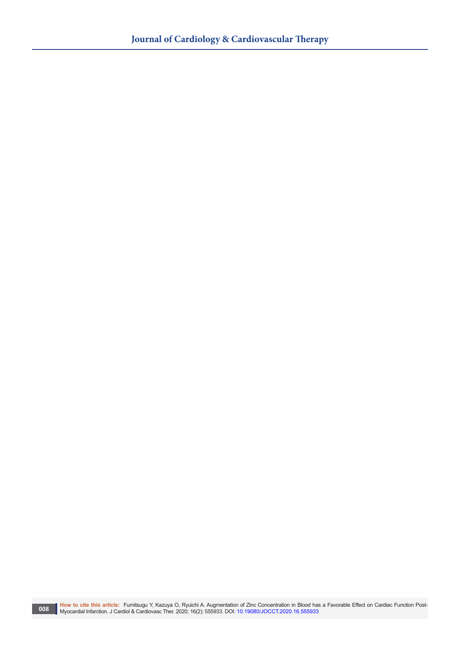Now to cite this article: Fumitsugu Y, Kazuya O, Ryuichi A. Augmentation of Zinc Concentration in Blood has a Favorable Effect on Cardiac Function Post-<br>Myocardial Infarction. J Cardiol & Cardiovasc Ther. 2020; 16(2): 5559